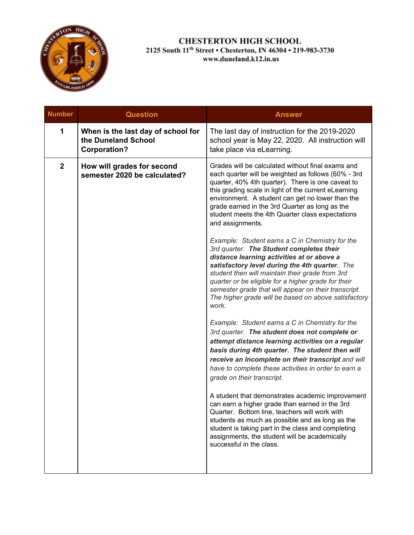

| <b>Number</b> | <b>Question</b>                                                                  | <b>Answer</b>                                                                                                                                                                                                                                                                                                                                                                                                                  |
|---------------|----------------------------------------------------------------------------------|--------------------------------------------------------------------------------------------------------------------------------------------------------------------------------------------------------------------------------------------------------------------------------------------------------------------------------------------------------------------------------------------------------------------------------|
| 1             | When is the last day of school for<br>the Duneland School<br><b>Corporation?</b> | The last day of instruction for the 2019-2020<br>school year is May 22, 2020. All instruction will<br>take place via eLearning.                                                                                                                                                                                                                                                                                                |
| $\mathbf{2}$  | How will grades for second<br>semester 2020 be calculated?                       | Grades will be calculated without final exams and<br>each quarter will be weighted as follows (60% - 3rd<br>quarter, 40% 4th quarter). There is one caveat to<br>this grading scale in light of the current eLearning<br>environment. A student can get no lower than the<br>grade earned in the 3rd Quarter as long as the<br>student meets the 4th Quarter class expectations<br>and assignments.                            |
|               |                                                                                  | Example: Student earns a C in Chemistry for the<br>3rd quarter. The Student completes their<br>distance learning activities at or above a<br>satisfactory level during the 4th quarter. The<br>student then will maintain their grade from 3rd<br>quarter or be eligible for a higher grade for their<br>semester grade that will appear on their transcript.<br>The higher grade will be based on above satisfactory<br>work. |
|               |                                                                                  | Example: Student earns a C in Chemistry for the<br>3rd quarter. The student does not complete or<br>attempt distance learning activities on a regular<br>basis during 4th quarter. The student then will<br>receive an Incomplete on their transcript and will<br>have to complete these activities in order to earn a<br>grade on their transcript.                                                                           |
|               |                                                                                  | A student that demonstrates academic improvement<br>can earn a higher grade than earned in the 3rd<br>Quarter. Bottom line, teachers will work with<br>students as much as possible and as long as the<br>student is taking part in the class and completing<br>assignments, the student will be academically<br>successful in the class.                                                                                      |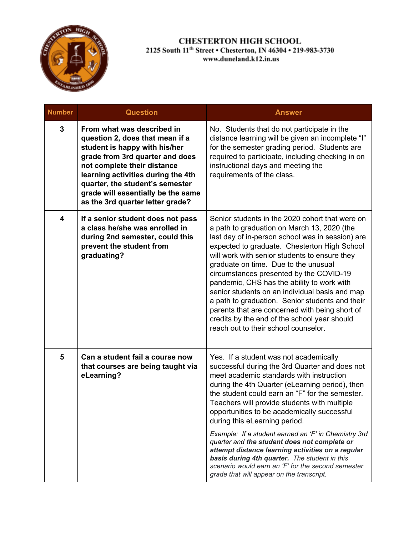

| <b>Number</b> | <b>Question</b>                                                                                                                                                                                                                                                                                                     | <b>Answer</b>                                                                                                                                                                                                                                                                                                                                                                                                                                                                                                                                                                                                                       |
|---------------|---------------------------------------------------------------------------------------------------------------------------------------------------------------------------------------------------------------------------------------------------------------------------------------------------------------------|-------------------------------------------------------------------------------------------------------------------------------------------------------------------------------------------------------------------------------------------------------------------------------------------------------------------------------------------------------------------------------------------------------------------------------------------------------------------------------------------------------------------------------------------------------------------------------------------------------------------------------------|
| 3             | From what was described in<br>question 2, does that mean if a<br>student is happy with his/her<br>grade from 3rd quarter and does<br>not complete their distance<br>learning activities during the 4th<br>quarter, the student's semester<br>grade will essentially be the same<br>as the 3rd quarter letter grade? | No. Students that do not participate in the<br>distance learning will be given an incomplete "I"<br>for the semester grading period. Students are<br>required to participate, including checking in on<br>instructional days and meeting the<br>requirements of the class.                                                                                                                                                                                                                                                                                                                                                          |
| 4             | If a senior student does not pass<br>a class he/she was enrolled in<br>during 2nd semester, could this<br>prevent the student from<br>graduating?                                                                                                                                                                   | Senior students in the 2020 cohort that were on<br>a path to graduation on March 13, 2020 (the<br>last day of in-person school was in session) are<br>expected to graduate. Chesterton High School<br>will work with senior students to ensure they<br>graduate on time. Due to the unusual<br>circumstances presented by the COVID-19<br>pandemic, CHS has the ability to work with<br>senior students on an individual basis and map<br>a path to graduation. Senior students and their<br>parents that are concerned with being short of<br>credits by the end of the school year should<br>reach out to their school counselor. |
| 5             | Can a student fail a course now<br>that courses are being taught via<br>eLearning?                                                                                                                                                                                                                                  | Yes. If a student was not academically<br>successful during the 3rd Quarter and does not<br>meet academic standards with instruction<br>during the 4th Quarter (eLearning period), then<br>the student could earn an "F" for the semester.<br>Teachers will provide students with multiple<br>opportunities to be academically successful<br>during this eLearning period.                                                                                                                                                                                                                                                          |
|               |                                                                                                                                                                                                                                                                                                                     | Example: If a student earned an 'F' in Chemistry 3rd<br>quarter and the student does not complete or<br>attempt distance learning activities on a regular<br>basis during 4th quarter. The student in this<br>scenario would earn an 'F' for the second semester<br>grade that will appear on the transcript.                                                                                                                                                                                                                                                                                                                       |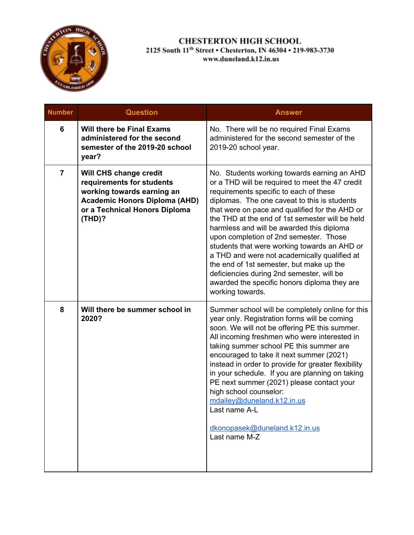

| <b>Number</b>  | <b>Question</b>                                                                                                                                                      | <b>Answer</b>                                                                                                                                                                                                                                                                                                                                                                                                                                                                                                                                                                                                                                     |
|----------------|----------------------------------------------------------------------------------------------------------------------------------------------------------------------|---------------------------------------------------------------------------------------------------------------------------------------------------------------------------------------------------------------------------------------------------------------------------------------------------------------------------------------------------------------------------------------------------------------------------------------------------------------------------------------------------------------------------------------------------------------------------------------------------------------------------------------------------|
| 6              | <b>Will there be Final Exams</b><br>administered for the second<br>semester of the 2019-20 school<br>year?                                                           | No. There will be no required Final Exams<br>administered for the second semester of the<br>2019-20 school year.                                                                                                                                                                                                                                                                                                                                                                                                                                                                                                                                  |
| $\overline{7}$ | Will CHS change credit<br>requirements for students<br>working towards earning an<br><b>Academic Honors Diploma (AHD)</b><br>or a Technical Honors Diploma<br>(THD)? | No. Students working towards earning an AHD<br>or a THD will be required to meet the 47 credit<br>requirements specific to each of these<br>diplomas. The one caveat to this is students<br>that were on pace and qualified for the AHD or<br>the THD at the end of 1st semester will be held<br>harmless and will be awarded this diploma<br>upon completion of 2nd semester. Those<br>students that were working towards an AHD or<br>a THD and were not academically qualified at<br>the end of 1st semester, but make up the<br>deficiencies during 2nd semester, will be<br>awarded the specific honors diploma they are<br>working towards. |
| 8              | Will there be summer school in<br>2020?                                                                                                                              | Summer school will be completely online for this<br>year only. Registration forms will be coming<br>soon. We will not be offering PE this summer.<br>All incoming freshmen who were interested in<br>taking summer school PE this summer are<br>encouraged to take it next summer (2021)<br>instead in order to provide for greater flexibility<br>in your schedule. If you are planning on taking<br>PE next summer (2021) please contact your<br>high school counselor:<br>mdailey@duneland.k12.in.us<br>Last name A-L<br>dkonopasek@duneland.k12.in.us<br>Last name M-Z                                                                        |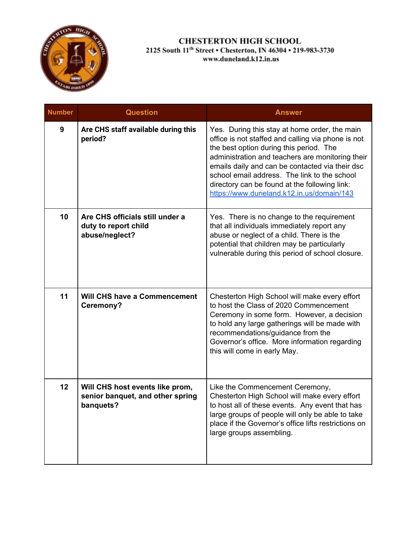

| <b>Number</b> | <b>Question</b>                                                                  | <b>Answer</b>                                                                                                                                                                                                                                                                                                                                                                                       |
|---------------|----------------------------------------------------------------------------------|-----------------------------------------------------------------------------------------------------------------------------------------------------------------------------------------------------------------------------------------------------------------------------------------------------------------------------------------------------------------------------------------------------|
| 9             | Are CHS staff available during this<br>period?                                   | Yes. During this stay at home order, the main<br>office is not staffed and calling via phone is not<br>the best option during this period. The<br>administration and teachers are monitoring their<br>emails daily and can be contacted via their dsc<br>school email address. The link to the school<br>directory can be found at the following link:<br>https://www.duneland.k12.in.us/domain/143 |
| 10            | Are CHS officials still under a<br>duty to report child<br>abuse/neglect?        | Yes. There is no change to the requirement<br>that all individuals immediately report any<br>abuse or neglect of a child. There is the<br>potential that children may be particularly<br>vulnerable during this period of school closure.                                                                                                                                                           |
| 11            | <b>Will CHS have a Commencement</b><br>Ceremony?                                 | Chesterton High School will make every effort<br>to host the Class of 2020 Commencement<br>Ceremony in some form. However, a decision<br>to hold any large gatherings will be made with<br>recommendations/guidance from the<br>Governor's office. More information regarding<br>this will come in early May.                                                                                       |
| 12            | Will CHS host events like prom,<br>senior banquet, and other spring<br>banquets? | Like the Commencement Ceremony,<br>Chesterton High School will make every effort<br>to host all of these events. Any event that has<br>large groups of people will only be able to take<br>place if the Governor's office lifts restrictions on<br>large groups assembling.                                                                                                                         |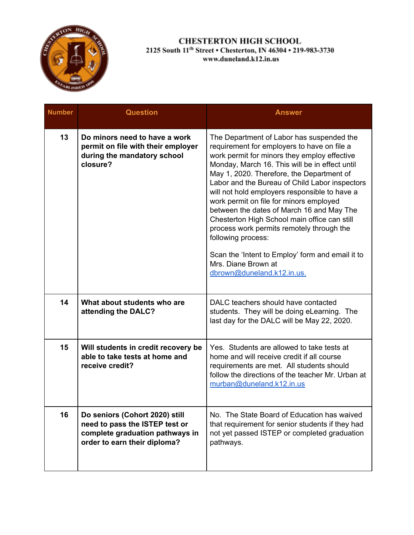

| <b>Number</b> | <b>Question</b>                                                                                                                     | <b>Answer</b>                                                                                                                                                                                                                                                                                                                                                                                                                                                                                                                                                                                                                                                  |
|---------------|-------------------------------------------------------------------------------------------------------------------------------------|----------------------------------------------------------------------------------------------------------------------------------------------------------------------------------------------------------------------------------------------------------------------------------------------------------------------------------------------------------------------------------------------------------------------------------------------------------------------------------------------------------------------------------------------------------------------------------------------------------------------------------------------------------------|
| 13            | Do minors need to have a work<br>permit on file with their employer<br>during the mandatory school<br>closure?                      | The Department of Labor has suspended the<br>requirement for employers to have on file a<br>work permit for minors they employ effective<br>Monday, March 16. This will be in effect until<br>May 1, 2020. Therefore, the Department of<br>Labor and the Bureau of Child Labor inspectors<br>will not hold employers responsible to have a<br>work permit on file for minors employed<br>between the dates of March 16 and May The<br>Chesterton High School main office can still<br>process work permits remotely through the<br>following process:<br>Scan the 'Intent to Employ' form and email it to<br>Mrs. Diane Brown at<br>dbrown@duneland.k12.in.us. |
| 14            | What about students who are<br>attending the DALC?                                                                                  | DALC teachers should have contacted<br>students. They will be doing eLearning. The<br>last day for the DALC will be May 22, 2020.                                                                                                                                                                                                                                                                                                                                                                                                                                                                                                                              |
| 15            | Will students in credit recovery be<br>able to take tests at home and<br>receive credit?                                            | Yes. Students are allowed to take tests at<br>home and will receive credit if all course<br>requirements are met. All students should<br>follow the directions of the teacher Mr. Urban at<br>murban@duneland.k12.in.us                                                                                                                                                                                                                                                                                                                                                                                                                                        |
| 16            | Do seniors (Cohort 2020) still<br>need to pass the ISTEP test or<br>complete graduation pathways in<br>order to earn their diploma? | No. The State Board of Education has waived<br>that requirement for senior students if they had<br>not yet passed ISTEP or completed graduation<br>pathways.                                                                                                                                                                                                                                                                                                                                                                                                                                                                                                   |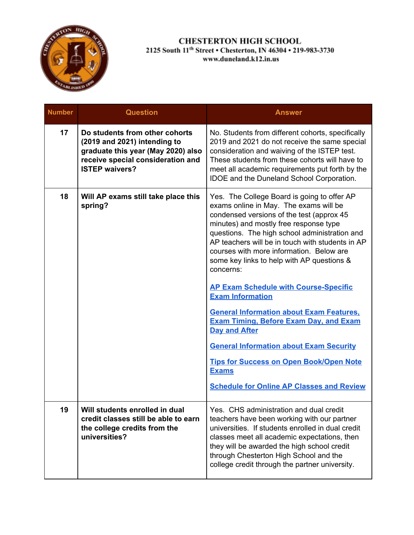

| <b>Number</b> | <b>Question</b>                                                                                                                                                    | <b>Answer</b>                                                                                                                                                                                                                                                                                                                                                                                                                                                                                                                                                                                                                                                                                                                                                           |
|---------------|--------------------------------------------------------------------------------------------------------------------------------------------------------------------|-------------------------------------------------------------------------------------------------------------------------------------------------------------------------------------------------------------------------------------------------------------------------------------------------------------------------------------------------------------------------------------------------------------------------------------------------------------------------------------------------------------------------------------------------------------------------------------------------------------------------------------------------------------------------------------------------------------------------------------------------------------------------|
| 17            | Do students from other cohorts<br>(2019 and 2021) intending to<br>graduate this year (May 2020) also<br>receive special consideration and<br><b>ISTEP waivers?</b> | No. Students from different cohorts, specifically<br>2019 and 2021 do not receive the same special<br>consideration and waiving of the ISTEP test.<br>These students from these cohorts will have to<br>meet all academic requirements put forth by the<br><b>IDOE</b> and the Duneland School Corporation.                                                                                                                                                                                                                                                                                                                                                                                                                                                             |
| 18            | Will AP exams still take place this<br>spring?                                                                                                                     | Yes. The College Board is going to offer AP<br>exams online in May. The exams will be<br>condensed versions of the test (approx 45<br>minutes) and mostly free response type<br>questions. The high school administration and<br>AP teachers will be in touch with students in AP<br>courses with more information. Below are<br>some key links to help with AP questions &<br>concerns:<br><b>AP Exam Schedule with Course-Specific</b><br><b>Exam Information</b><br><b>General Information about Exam Features,</b><br><b>Exam Timing, Before Exam Day, and Exam</b><br><b>Day and After</b><br><b>General Information about Exam Security</b><br><b>Tips for Success on Open Book/Open Note</b><br><b>Exams</b><br><b>Schedule for Online AP Classes and Review</b> |
| 19            | Will students enrolled in dual<br>credit classes still be able to earn<br>the college credits from the<br>universities?                                            | Yes. CHS administration and dual credit<br>teachers have been working with our partner<br>universities. If students enrolled in dual credit<br>classes meet all academic expectations, then<br>they will be awarded the high school credit<br>through Chesterton High School and the<br>college credit through the partner university.                                                                                                                                                                                                                                                                                                                                                                                                                                  |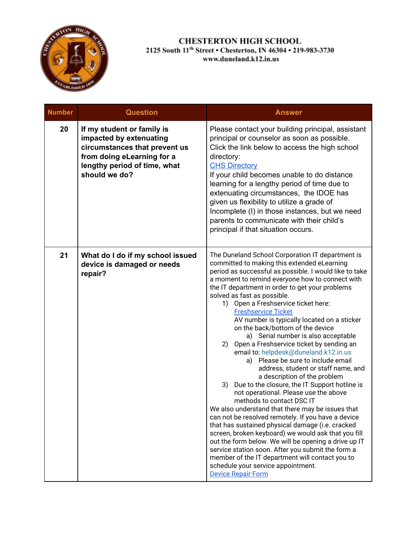

| <b>Number</b> | <b>Question</b>                                                                                                                                                       | <b>Answer</b>                                                                                                                                                                                                                                                                                                                                                                                                                                                                                                                                                                                                                                                                                                                                                                                                                                                                                                                                                                                                                                                                                                                                                                                                                                                                           |
|---------------|-----------------------------------------------------------------------------------------------------------------------------------------------------------------------|-----------------------------------------------------------------------------------------------------------------------------------------------------------------------------------------------------------------------------------------------------------------------------------------------------------------------------------------------------------------------------------------------------------------------------------------------------------------------------------------------------------------------------------------------------------------------------------------------------------------------------------------------------------------------------------------------------------------------------------------------------------------------------------------------------------------------------------------------------------------------------------------------------------------------------------------------------------------------------------------------------------------------------------------------------------------------------------------------------------------------------------------------------------------------------------------------------------------------------------------------------------------------------------------|
| 20            | If my student or family is<br>impacted by extenuating<br>circumstances that prevent us<br>from doing eLearning for a<br>lengthy period of time, what<br>should we do? | Please contact your building principal, assistant<br>principal or counselor as soon as possible.<br>Click the link below to access the high school<br>directory:<br><b>CHS Directory</b><br>If your child becomes unable to do distance<br>learning for a lengthy period of time due to<br>extenuating circumstances, the IDOE has<br>given us flexibility to utilize a grade of<br>Incomplete (I) in those instances, but we need<br>parents to communicate with their child's<br>principal if that situation occurs.                                                                                                                                                                                                                                                                                                                                                                                                                                                                                                                                                                                                                                                                                                                                                                  |
| 21            | What do I do if my school issued<br>device is damaged or needs<br>repair?                                                                                             | The Duneland School Corporation IT department is<br>committed to making this extended eLearning<br>period as successful as possible. I would like to take<br>a moment to remind everyone how to connect with<br>the IT department in order to get your problems<br>solved as fast as possible.<br>1) Open a Freshservice ticket here:<br><b>Freshservice Ticket</b><br>AV number is typically located on a sticker<br>on the back/bottom of the device<br>a) Serial number is also acceptable<br>2) Open a Freshservice ticket by sending an<br>email to: helpdesk@duneland.k12.in.us<br>a) Please be sure to include email<br>address, student or staff name, and<br>a description of the problem<br>Due to the closure, the IT Support hotline is<br>3)<br>not operational. Please use the above<br>methods to contact DSC IT<br>We also understand that there may be issues that<br>can not be resolved remotely. If you have a device<br>that has sustained physical damage (i.e. cracked<br>screen, broken keyboard) we would ask that you fill<br>out the form below. We will be opening a drive up IT<br>service station soon. After you submit the form a<br>member of the IT department will contact you to<br>schedule your service appointment.<br><b>Device Repair Form</b> |